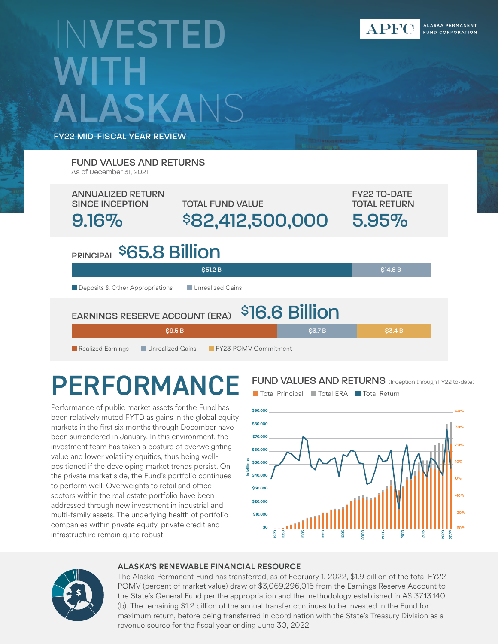# INVESTED **WITH** SKANS

FY22 MID-FISCAL YEAR REVIEW

TOTAL FUND VALUE ANNUALIZED RETURN SINCE INCEPTION 9.16% \$82,412,500,000 FY22 TO-DATE TOTAL RETURN 5.95% PRINCIPAL<sup>\$</sup>65.8 Billion **Deposits & Other Appropriations** Unrealized Gains \$51.2 B \$14.6 B EARNINGS RESERVE ACCOUNT (ERA) **Realized Earnings Containery Constructs** FY23 POMV Commitment \$16.6 Billion \$9.5 B \$3.4 B \$3.7 B \$3.4 B FUND VALUES AND RETURNS As of December 31, 2021

# PERFORMANCE

Performance of public market assets for the Fund has been relatively muted FYTD as gains in the global equity markets in the first six months through December have been surrendered in January. In this environment, the investment team has taken a posture of overweighting value and lower volatility equities, thus being wellpositioned if the developing market trends persist. On the private market side, the Fund's portfolio continues to perform well. Overweights to retail and office sectors within the real estate portfolio have been addressed through new investment in industrial and multi-family assets. The underlying health of portfolio companies within private equity, private credit and infrastructure remain quite robust.

FUND VALUES AND RETURNS (Inception through FY22 to-date)



### ALASKA'S RENEWABLE FINANCIAL RESOURCE

The Alaska Permanent Fund has transferred, as of February 1, 2022, \$1.9 billion of the total FY22 POMV (percent of market value) draw of \$3,069,296,016 from the Earnings Reserve Account to the State's General Fund per the appropriation and the methodology established in AS 37.13.140 (b). The remaining \$1.2 billion of the annual transfer continues to be invested in the Fund for maximum return, before being transferred in coordination with the State's Treasury Division as a revenue source for the fiscal year ending June 30, 2022.

### ■ Total Principal ■ Total ERA ■ Total Return

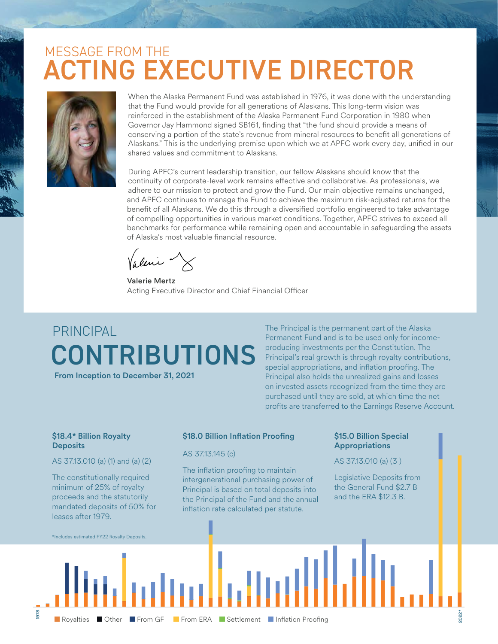### ACTING EXECUTIVE DIRECTOR MESSAGE FROM THE



When the Alaska Permanent Fund was established in 1976, it was done with the understanding that the Fund would provide for all generations of Alaskans. This long-term vision was reinforced in the establishment of the Alaska Permanent Fund Corporation in 1980 when Governor Jay Hammond signed SB161, finding that "the fund should provide a means of conserving a portion of the state's revenue from mineral resources to benefit all generations of Alaskans." This is the underlying premise upon which we at APFC work every day, unified in our shared values and commitment to Alaskans.

During APFC's current leadership transition, our fellow Alaskans should know that the continuity of corporate-level work remains effective and collaborative. As professionals, we adhere to our mission to protect and grow the Fund. Our main objective remains unchanged, and APFC continues to manage the Fund to achieve the maximum risk-adjusted returns for the benefit of all Alaskans. We do this through a diversified portfolio engineered to take advantage of compelling opportunities in various market conditions. Together, APFC strives to exceed all benchmarks for performance while remaining open and accountable in safeguarding the assets of Alaska's most valuable financial resource.

Valerie Mertz Acting Executive Director and Chief Financial Officer

# CONTRIBUTIONS PRINCIPAL

From Inception to December 31, 2021

The Principal is the permanent part of the Alaska Permanent Fund and is to be used only for incomeproducing investments per the Constitution. The Principal's real growth is through royalty contributions, special appropriations, and inflation proofing. The Principal also holds the unrealized gains and losses on invested assets recognized from the time they are purchased until they are sold, at which time the net profits are transferred to the Earnings Reserve Account.

#### \$18.4\* Billion Royalty **Deposits**

AS 37.13.010 (a) (1) and (a) (2)

The constitutionally required minimum of 25% of royalty proceeds and the statutorily mandated deposits of 50% for

### \$18.0 Billion Inflation Proofing

#### AS 37.13.145 (c)

The inflation proofing to maintain intergenerational purchasing power of Principal is based on total deposits into the Principal of the Fund and the annual inflation rate calculated per statute.

#### \$15.0 Billion Special Appropriations

#### AS 37.13.010 (a) (3 )

Legislative Deposits from the General Fund \$2.7 B and the ERA \$12.3 B.

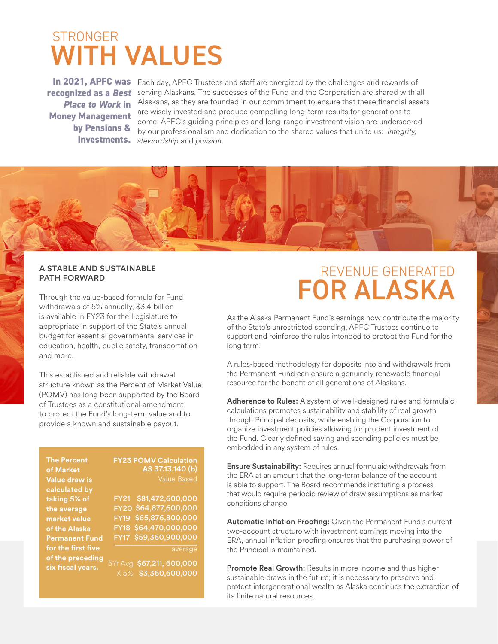### WITH VALUES **STRONGER**

**recognized as a** *Best Place to Work* **in Money Management by Pensions & Investments.**

In 2021, APFC was Each day, APFC Trustees and staff are energized by the challenges and rewards of serving Alaskans. The successes of the Fund and the Corporation are shared with all Alaskans, as they are founded in our commitment to ensure that these financial assets are wisely invested and produce compelling long-term results for generations to come. APFC's guiding principles and long-range investment vision are underscored by our professionalism and dedication to the shared values that unite us: *integrity, stewardship* and *passion*.



### PATH FORWARD

Through the value-based formula for Fund withdrawals of 5% annually, \$3.4 billion is available in FY23 for the Legislature to appropriate in support of the State's annual budget for essential governmental services in education, health, public safety, transportation and more.

This established and reliable withdrawal structure known as the Percent of Market Value (POMV) has long been supported by the Board of Trustees as a constitutional amendment to protect the Fund's long-term value and to provide a known and sustainable payout.

**The Percent of Market Value draw is calculated by taking 5% of the average market value of the Alaska Permanent Fund for the first five of the preceding six fiscal years.**

### **FY23 POMV Calculation AS 37.13.140 (b)**

\$81,472,600,000 FY21 \$64,877,600,000 FY20 \$65,876,800,000 FY19 FY18 \$64,470,000,000 \$59,360,900,000 \_\_\_\_\_\_\_\_\_\_\_\_\_\_\_\_\_\_\_\_\_\_ average FY17

 5Yr Avg \$67,211, 600,000 X 5% \$3,360,600,000

### FOR ALASKA A STABLE AND SUSTAINABLE A STABLE AND SUSTAINABLE AND SUSTAINABLE

As the Alaska Permanent Fund's earnings now contribute the majority of the State's unrestricted spending, APFC Trustees continue to support and reinforce the rules intended to protect the Fund for the long term.

A rules-based methodology for deposits into and withdrawals from the Permanent Fund can ensure a genuinely renewable financial resource for the benefit of all generations of Alaskans.

Adherence to Rules: A system of well-designed rules and formulaic calculations promotes sustainability and stability of real growth through Principal deposits, while enabling the Corporation to organize investment policies allowing for prudent investment of the Fund. Clearly defined saving and spending policies must be embedded in any system of rules.

**Ensure Sustainability:** Requires annual formulaic withdrawals from the ERA at an amount that the long-term balance of the account is able to support. The Board recommends instituting a process that would require periodic review of draw assumptions as market conditions change.

Automatic Inflation Proofing: Given the Permanent Fund's current two-account structure with investment earnings moving into the ERA, annual inflation proofing ensures that the purchasing power of the Principal is maintained.

Promote Real Growth: Results in more income and thus higher sustainable draws in the future; it is necessary to preserve and protect intergenerational wealth as Alaska continues the extraction of its finite natural resources.